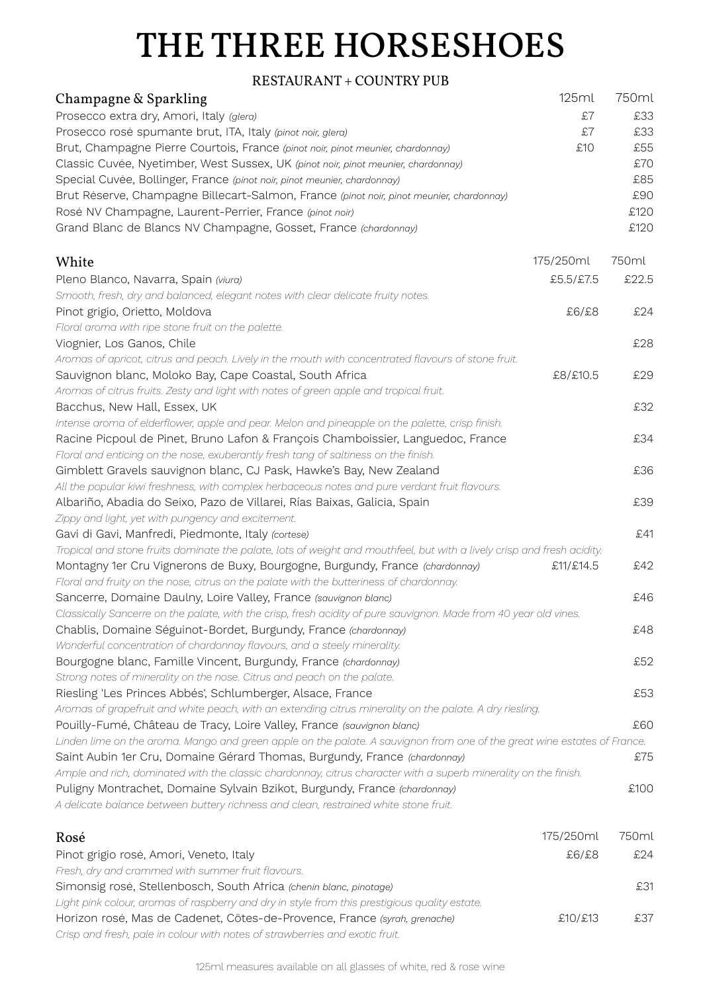## THE THREE HORSESHOES

## RESTAURANT + COUNTRY PUB

| Champagne & Sparkling                                                                                                    | 125ml     | 750ml |
|--------------------------------------------------------------------------------------------------------------------------|-----------|-------|
| Prosecco extra dry, Amori, Italy (glera)                                                                                 | £7        | £33   |
| Prosecco rosé spumante brut, ITA, Italy (pinot noir, glera)                                                              | £7        | £33   |
| Brut, Champagne Pierre Courtois, France (pinot noir, pinot meunier, chardonnay)                                          | £10       | £55   |
| Classic Cuvée, Nyetimber, West Sussex, UK (pinot noir, pinot meunier, chardonnay)                                        |           | £70   |
| Special Cuvée, Bollinger, France (pinot noir, pinot meunier, chardonnay)                                                 |           | £85   |
| Brut Réserve, Champagne Billecart-Salmon, France (pinot noir, pinot meunier, chardonnay)                                 |           | £90   |
| Rosé NV Champagne, Laurent-Perrier, France (pinot noir)                                                                  |           | £120  |
| Grand Blanc de Blancs NV Champagne, Gosset, France (chardonnay)                                                          |           | £120  |
| White                                                                                                                    | 175/250ml | 750ml |
| Pleno Blanco, Navarra, Spain (viura)                                                                                     | £5.5/£7.5 | £22.5 |
| Smooth, fresh, dry and balanced, elegant notes with clear delicate fruity notes.                                         |           |       |
| Pinot grigio, Orietto, Moldova                                                                                           | £6/£8     | £24   |
| Floral aroma with ripe stone fruit on the palette.                                                                       |           |       |
| Viognier, Los Ganos, Chile                                                                                               |           | £28   |
| Aromas of apricot, citrus and peach. Lively in the mouth with concentrated flavours of stone fruit.                      |           |       |
| Sauvignon blanc, Moloko Bay, Cape Coastal, South Africa                                                                  | £8/£10.5  | £29   |
| Aromas of citrus fruits. Zesty and light with notes of green apple and tropical fruit.                                   |           |       |
| Bacchus, New Hall, Essex, UK                                                                                             |           | £32   |
| Intense aroma of elderflower, apple and pear. Melon and pineapple on the palette, crisp finish.                          |           |       |
| Racine Picpoul de Pinet, Bruno Lafon & François Chamboissier, Languedoc, France                                          |           | £34   |
| Floral and enticing on the nose, exuberantly fresh tang of saltiness on the finish.                                      |           |       |
| Gimblett Gravels sauvignon blanc, CJ Pask, Hawke's Bay, New Zealand                                                      |           | £36   |
| All the popular kiwi freshness, with complex herbaceous notes and pure verdant fruit flavours.                           |           |       |
| Albariño, Abadia do Seixo, Pazo de Villarei, Rías Baixas, Galicia, Spain                                                 |           | £39   |
| Zippy and light, yet with pungency and excitement.                                                                       |           |       |
| Gavi di Gavi, Manfredi, Piedmonte, Italy (cortese)                                                                       |           | £41   |
| Tropical and stone fruits dominate the palate, lots of weight and mouthfeel, but with a lively crisp and fresh acidity.  |           |       |
| Montagny 1er Cru Vignerons de Buxy, Bourgogne, Burgundy, France (chardonnay)                                             | £11/£14.5 | £42   |
| Floral and fruity on the nose, citrus on the palate with the butteriness of chardonnay.                                  |           |       |
| Sancerre, Domaine Daulny, Loire Valley, France (sauvignon blanc)                                                         |           | £46   |
| Classically Sancerre on the palate, with the crisp, fresh acidity of pure sauvignon. Made from 40 year old vines.        |           |       |
| Chablis, Domaine Séguinot-Bordet, Burgundy, France (chardonnay)                                                          |           | £48   |
| Wonderful concentration of chardonnay flavours, and a steely minerality.                                                 |           |       |
| Bourgogne blanc, Famille Vincent, Burgundy, France (chardonnay)                                                          |           | £52   |
| Strong notes of minerality on the nose. Citrus and peach on the palate.                                                  |           |       |
| Riesling 'Les Princes Abbés', Schlumberger, Alsace, France                                                               |           | £53   |
| Aromas of grapefruit and white peach, with an extending citrus minerality on the palate. A dry riesling.                 |           |       |
| Pouilly-Fumé, Château de Tracy, Loire Valley, France (sauvignon blanc)                                                   |           | £60   |
| Linden lime on the aroma. Mango and green apple on the palate. A sauvignon from one of the great wine estates of France. |           |       |
| Saint Aubin 1er Cru, Domaine Gérard Thomas, Burgundy, France (chardonnay)                                                |           | £75   |
| Ample and rich, dominated with the classic chardonnay, citrus character with a superb minerality on the finish.          |           |       |
| Puligny Montrachet, Domaine Sylvain Bzikot, Burgundy, France (chardonnay)                                                |           | £100  |
| A delicate balance between buttery richness and clean, restrained white stone fruit.                                     |           |       |
| Rosé                                                                                                                     | 175/250ml | 750ml |
| Pinot grigio rosé, Amori, Veneto, Italy                                                                                  | £6/£8     | £24   |
| Fresh, dry and crammed with summer fruit flavours.                                                                       |           |       |
| Simonsig rosé, Stellenbosch, South Africa (chenin blanc, pinotage)                                                       |           | £31   |
| Light pink colour, aromas of raspberry and dry in style from this prestigious quality estate.                            |           |       |
| Horizon rosé, Mas de Cadenet, Côtes-de-Provence, France (syrah, grenache)                                                | £10/£13   | £37   |
| Crisp and fresh, pale in colour with notes of strawberries and exotic fruit.                                             |           |       |